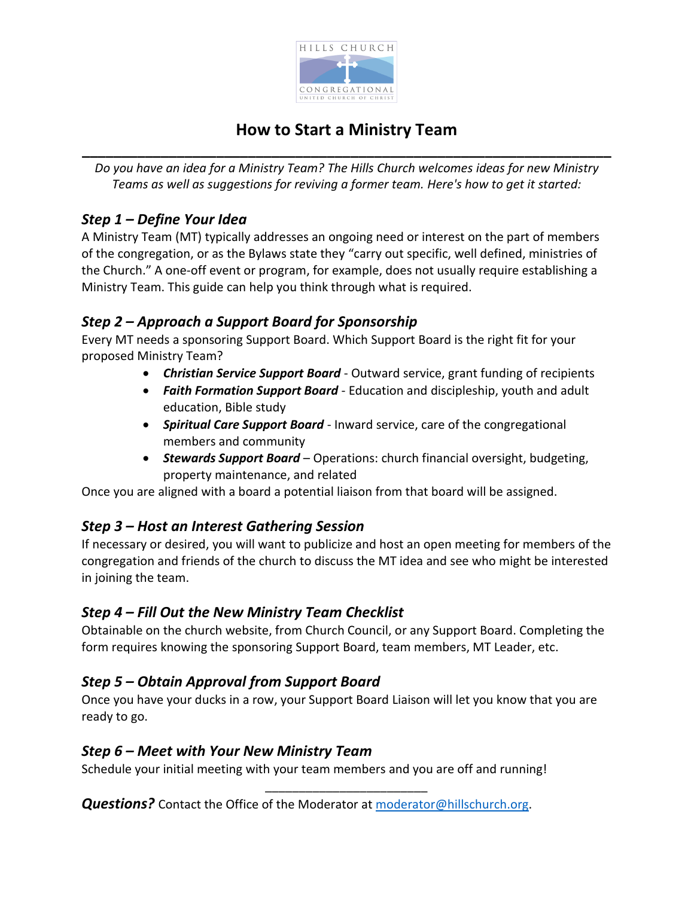

# **How to Start a Ministry Team \_\_\_\_\_\_\_\_\_\_\_\_\_\_\_\_\_\_\_\_\_\_\_\_\_\_\_\_\_\_\_\_\_\_\_\_\_\_\_\_\_\_\_\_\_\_\_\_\_\_\_\_\_\_\_\_\_\_\_\_\_\_\_\_\_\_\_**

*Do you have an idea for a Ministry Team? The Hills Church welcomes ideas for new Ministry Teams as well as suggestions for reviving a former team. Here's how to get it started:* 

## *Step 1 – Define Your Idea*

A Ministry Team (MT) typically addresses an ongoing need or interest on the part of members of the congregation, or as the Bylaws state they "carry out specific, well defined, ministries of the Church." A one-off event or program, for example, does not usually require establishing a Ministry Team. This guide can help you think through what is required.

### *Step 2 – Approach a Support Board for Sponsorship*

Every MT needs a sponsoring Support Board. Which Support Board is the right fit for your proposed Ministry Team?

- *Christian Service Support Board*  Outward service, grant funding of recipients
- *Faith Formation Support Board* Education and discipleship, youth and adult education, Bible study
- *Spiritual Care Support Board* Inward service, care of the congregational members and community
- *Stewards Support Board* Operations: church financial oversight, budgeting, property maintenance, and related

Once you are aligned with a board a potential liaison from that board will be assigned.

#### *Step 3 – Host an Interest Gathering Session*

If necessary or desired, you will want to publicize and host an open meeting for members of the congregation and friends of the church to discuss the MT idea and see who might be interested in joining the team.

#### *Step 4 – Fill Out the New Ministry Team Checklist*

Obtainable on the church website, from Church Council, or any Support Board. Completing the form requires knowing the sponsoring Support Board, team members, MT Leader, etc.

#### *Step 5 – Obtain Approval from Support Board*

Once you have your ducks in a row, your Support Board Liaison will let you know that you are ready to go.

\_\_\_\_\_\_\_\_\_\_\_\_\_\_\_\_\_\_\_\_\_\_\_\_

#### *Step 6 – Meet with Your New Ministry Team*

Schedule your initial meeting with your team members and you are off and running!

*Questions?* Contact the Office of the Moderator at [moderator@hillschurch.org.](mailto:moderator@hillschurch.org)